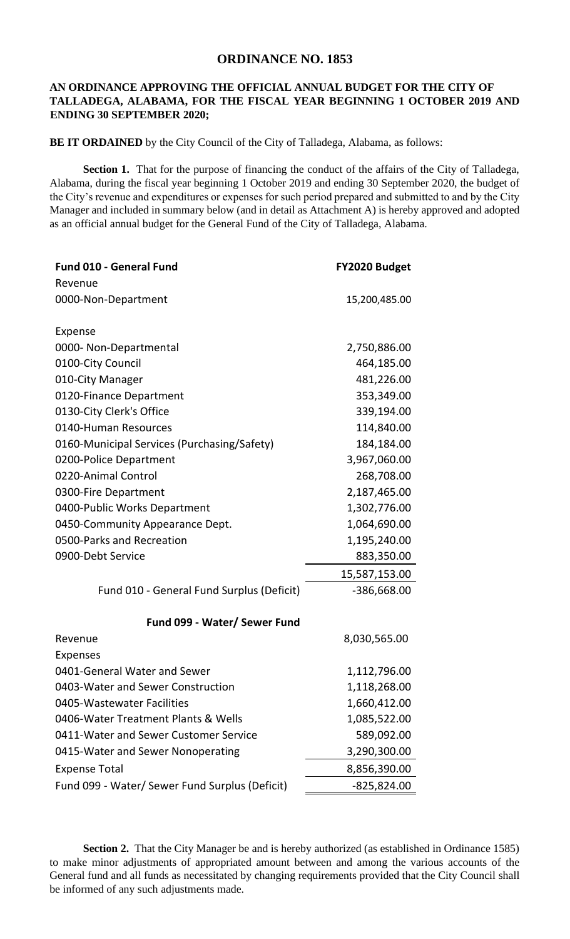## **ORDINANCE NO. 1853**

## **AN ORDINANCE APPROVING THE OFFICIAL ANNUAL BUDGET FOR THE CITY OF TALLADEGA, ALABAMA, FOR THE FISCAL YEAR BEGINNING 1 OCTOBER 2019 AND ENDING 30 SEPTEMBER 2020;**

**BE IT ORDAINED** by the City Council of the City of Talladega, Alabama, as follows:

**Section 1.** That for the purpose of financing the conduct of the affairs of the City of Talladega, Alabama, during the fiscal year beginning 1 October 2019 and ending 30 September 2020, the budget of the City's revenue and expenditures or expenses for such period prepared and submitted to and by the City Manager and included in summary below (and in detail as Attachment A) is hereby approved and adopted as an official annual budget for the General Fund of the City of Talladega, Alabama.

| Revenue<br>0000-Non-Department<br>15,200,485.00<br>Expense<br>0000- Non-Departmental<br>2,750,886.00<br>0100-City Council<br>464,185.00<br>010-City Manager<br>481,226.00<br>0120-Finance Department<br>353,349.00<br>0130-City Clerk's Office<br>339,194.00 | <b>Fund 010 - General Fund</b> | FY2020 Budget |
|--------------------------------------------------------------------------------------------------------------------------------------------------------------------------------------------------------------------------------------------------------------|--------------------------------|---------------|
|                                                                                                                                                                                                                                                              |                                |               |
|                                                                                                                                                                                                                                                              |                                |               |
|                                                                                                                                                                                                                                                              |                                |               |
|                                                                                                                                                                                                                                                              |                                |               |
|                                                                                                                                                                                                                                                              |                                |               |
|                                                                                                                                                                                                                                                              |                                |               |
|                                                                                                                                                                                                                                                              |                                |               |
|                                                                                                                                                                                                                                                              |                                |               |
|                                                                                                                                                                                                                                                              |                                |               |
|                                                                                                                                                                                                                                                              | 0140-Human Resources           | 114,840.00    |
| 0160-Municipal Services (Purchasing/Safety)<br>184,184.00                                                                                                                                                                                                    |                                |               |
| 0200-Police Department<br>3,967,060.00                                                                                                                                                                                                                       |                                |               |
| 0220-Animal Control<br>268,708.00                                                                                                                                                                                                                            |                                |               |
| 0300-Fire Department<br>2,187,465.00                                                                                                                                                                                                                         |                                |               |
| 0400-Public Works Department<br>1,302,776.00                                                                                                                                                                                                                 |                                |               |
| 0450-Community Appearance Dept.<br>1,064,690.00                                                                                                                                                                                                              |                                |               |
| 0500-Parks and Recreation<br>1,195,240.00                                                                                                                                                                                                                    |                                |               |
| 0900-Debt Service<br>883,350.00                                                                                                                                                                                                                              |                                |               |
| 15,587,153.00                                                                                                                                                                                                                                                |                                |               |
| Fund 010 - General Fund Surplus (Deficit)<br>-386,668.00                                                                                                                                                                                                     |                                |               |
| Fund 099 - Water/ Sewer Fund                                                                                                                                                                                                                                 |                                |               |
| Revenue<br>8,030,565.00                                                                                                                                                                                                                                      |                                |               |
| <b>Expenses</b>                                                                                                                                                                                                                                              |                                |               |
| 0401-General Water and Sewer<br>1,112,796.00                                                                                                                                                                                                                 |                                |               |
| 0403-Water and Sewer Construction<br>1,118,268.00                                                                                                                                                                                                            |                                |               |
| 0405-Wastewater Facilities<br>1,660,412.00                                                                                                                                                                                                                   |                                |               |
| 0406-Water Treatment Plants & Wells<br>1,085,522.00                                                                                                                                                                                                          |                                |               |
| 0411-Water and Sewer Customer Service<br>589,092.00                                                                                                                                                                                                          |                                |               |
| 0415-Water and Sewer Nonoperating<br>3,290,300.00                                                                                                                                                                                                            |                                |               |
| <b>Expense Total</b><br>8,856,390.00                                                                                                                                                                                                                         |                                |               |
| Fund 099 - Water/ Sewer Fund Surplus (Deficit)<br>$-825,824.00$                                                                                                                                                                                              |                                |               |

Section 2. That the City Manager be and is hereby authorized (as established in Ordinance 1585) to make minor adjustments of appropriated amount between and among the various accounts of the General fund and all funds as necessitated by changing requirements provided that the City Council shall be informed of any such adjustments made.